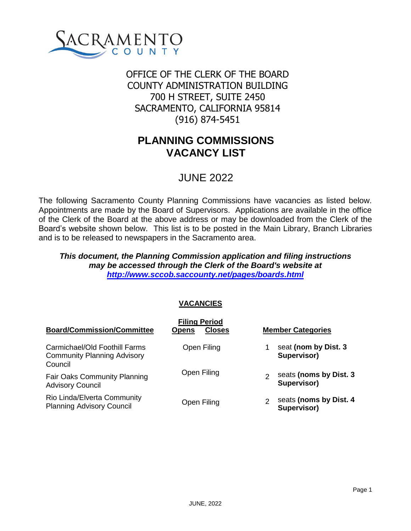

# (916) 874-5451 OFFICE OF THE CLERK OF THE BOARD COUNTY ADMINISTRATION BUILDING 700 H STREET, SUITE 2450 SACRAMENTO, CALIFORNIA 95814

# **PLANNING COMMISSIONS VACANCY LIST**

# JUNE 2022

The following Sacramento County Planning Commissions have vacancies as listed below. Appointments are made by the Board of Supervisors. Applications are available in the office of the Clerk of the Board at the above address or may be downloaded from the Clerk of the Board's website shown below. This list is to be posted in the Main Library, Branch Libraries and is to be released to newspapers in the Sacramento area.

## *This document, the Planning Commission application and filing instructions may be accessed through the Clerk of the Board's website at <http://www.sccob.saccounty.net/pages/boards.html>*

# **VACANCIES**

| <b>Board/Commission/Committee</b>                                              | <b>Filing Period</b><br><b>Closes</b><br><b>Opens</b> | <b>Member Categories</b>                                |
|--------------------------------------------------------------------------------|-------------------------------------------------------|---------------------------------------------------------|
| Carmichael/Old Foothill Farms<br><b>Community Planning Advisory</b><br>Council | Open Filing                                           | seat (nom by Dist. 3<br>Supervisor)                     |
| <b>Fair Oaks Community Planning</b><br><b>Advisory Council</b>                 | Open Filing                                           | seats (noms by Dist. 3<br>$\mathfrak{p}$<br>Supervisor) |
| Rio Linda/Elverta Community<br><b>Planning Advisory Council</b>                | Open Filing                                           | seats (noms by Dist. 4<br>Supervisor)                   |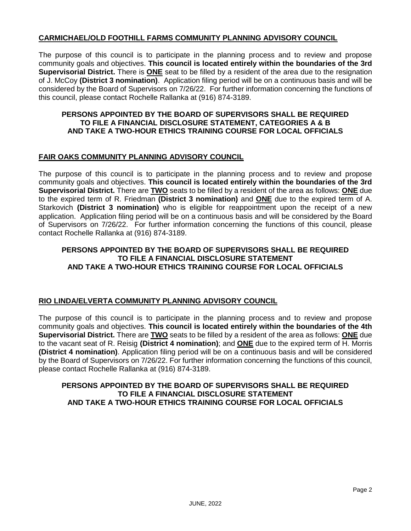### **CARMICHAEL/OLD FOOTHILL FARMS COMMUNITY PLANNING ADVISORY COUNCIL**

The purpose of this council is to participate in the planning process and to review and propose community goals and objectives. **This council is located entirely within the boundaries of the 3rd Supervisorial District.** There is **ONE** seat to be filled by a resident of the area due to the resignation of J. McCoy **(District 3 nomination)**. Application filing period will be on a continuous basis and will be considered by the Board of Supervisors on 7/26/22. For further information concerning the functions of this council, please contact Rochelle Rallanka at (916) 874-3189.

#### **PERSONS APPOINTED BY THE BOARD OF SUPERVISORS SHALL BE REQUIRED TO FILE A FINANCIAL DISCLOSURE STATEMENT, CATEGORIES A & B AND TAKE A TWO-HOUR ETHICS TRAINING COURSE FOR LOCAL OFFICIALS**

#### **FAIR OAKS COMMUNITY PLANNING ADVISORY COUNCIL**

The purpose of this council is to participate in the planning process and to review and propose community goals and objectives. **This council is located entirely within the boundaries of the 3rd Supervisorial District.** There are **TWO** seats to be filled by a resident of the area as follows: **ONE** due to the expired term of R. Friedman **(District 3 nomination)** and **ONE** due to the expired term of A. Starkovich **(District 3 nomination)** who is eligible for reappointment upon the receipt of a new application. Application filing period will be on a continuous basis and will be considered by the Board of Supervisors on 7/26/22. For further information concerning the functions of this council, please contact Rochelle Rallanka at (916) 874-3189.

### **PERSONS APPOINTED BY THE BOARD OF SUPERVISORS SHALL BE REQUIRED TO FILE A FINANCIAL DISCLOSURE STATEMENT AND TAKE A TWO-HOUR ETHICS TRAINING COURSE FOR LOCAL OFFICIALS**

### **RIO LINDA/ELVERTA COMMUNITY PLANNING ADVISORY COUNCIL**

The purpose of this council is to participate in the planning process and to review and propose community goals and objectives. **This council is located entirely within the boundaries of the 4th Supervisorial District.** There are **TWO** seats to be filled by a resident of the area as follows: **ONE** due to the vacant seat of R. Reisig **(District 4 nomination)**; and **ONE** due to the expired term of H. Morris **(District 4 nomination)**. Application filing period will be on a continuous basis and will be considered by the Board of Supervisors on 7/26/22. For further information concerning the functions of this council, please contact Rochelle Rallanka at (916) 874-3189.

#### **PERSONS APPOINTED BY THE BOARD OF SUPERVISORS SHALL BE REQUIRED TO FILE A FINANCIAL DISCLOSURE STATEMENT AND TAKE A TWO-HOUR ETHICS TRAINING COURSE FOR LOCAL OFFICIALS**